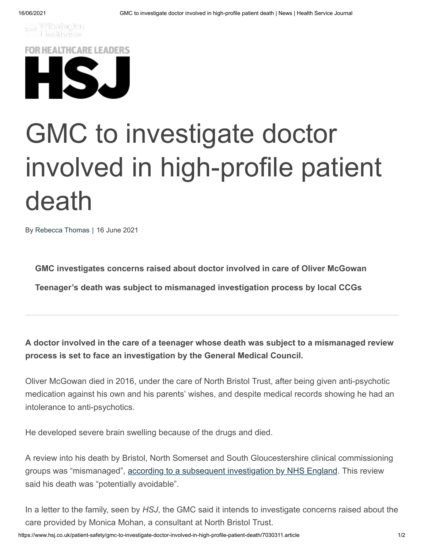

**FOR HEALTHCARE LEADERS** 

## GMC to investigate doctor involved in high-profile patient death

By [Rebecca](https://www.hsj.co.uk/rebecca-thomas/1203630.bio) Thomas | 16 June 2021

**GMC investigates concerns raised about doctor involved in care of Oliver McGowan**

**Teenager's death was subject to mismanaged investigation process by local CCGs**

**A doctor involved in the care of a teenager whose death was subject to a mismanaged review process is set to face an investigation by the General Medical Council.**

Oliver McGowan died in 2016, under the care of North Bristol Trust, after being given anti-psychotic medication against his own and his parents' wishes, and despite medical records showing he had an intolerance to anti-psychotics.

He developed severe brain swelling because of the drugs and died.

A review into his death by Bristol, North Somerset and South Gloucestershire clinical commissioning groups was "mismanaged", [according to a subsequent investigation by NHS England](https://www.hsj.co.uk/patient-safety/reviewer-felt-bullied-by-ccg-over-findings-on-young-mans-death/7028656.article). This review said his death was "potentially avoidable".

In a letter to the family, seen by *HSJ*, the GMC said it intends to investigate concerns raised about the care provided by Monica Mohan, a consultant at North Bristol Trust.

https://www.hsj.co.uk/patient-safety/gmc-to-investigate-doctor-involved-in-high-profile-patient-death/7030311.article 1/2